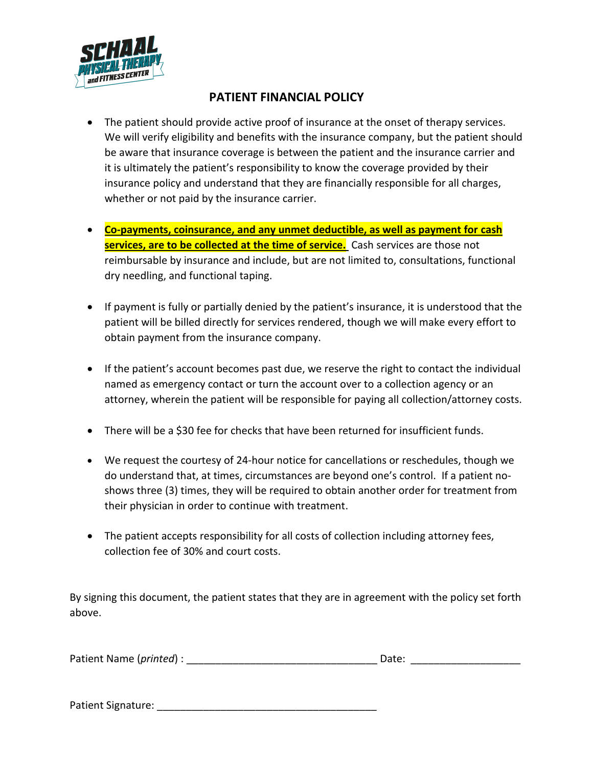

## **PATIENT FINANCIAL POLICY**

- The patient should provide active proof of insurance at the onset of therapy services. We will verify eligibility and benefits with the insurance company, but the patient should be aware that insurance coverage is between the patient and the insurance carrier and it is ultimately the patient's responsibility to know the coverage provided by their insurance policy and understand that they are financially responsible for all charges, whether or not paid by the insurance carrier.
- **Co-payments, coinsurance, and any unmet deductible, as well as payment for cash services, are to be collected at the time of service.** Cash services are those not reimbursable by insurance and include, but are not limited to, consultations, functional dry needling, and functional taping.
- If payment is fully or partially denied by the patient's insurance, it is understood that the patient will be billed directly for services rendered, though we will make every effort to obtain payment from the insurance company.
- If the patient's account becomes past due, we reserve the right to contact the individual named as emergency contact or turn the account over to a collection agency or an attorney, wherein the patient will be responsible for paying all collection/attorney costs.
- There will be a \$30 fee for checks that have been returned for insufficient funds.
- We request the courtesy of 24-hour notice for cancellations or reschedules, though we do understand that, at times, circumstances are beyond one's control. If a patient noshows three (3) times, they will be required to obtain another order for treatment from their physician in order to continue with treatment.
- The patient accepts responsibility for all costs of collection including attorney fees, collection fee of 30% and court costs.

By signing this document, the patient states that they are in agreement with the policy set forth above.

| Patient Name (printed) : | Date: |  |
|--------------------------|-------|--|
|                          |       |  |

Patient Signature: **Example 2018**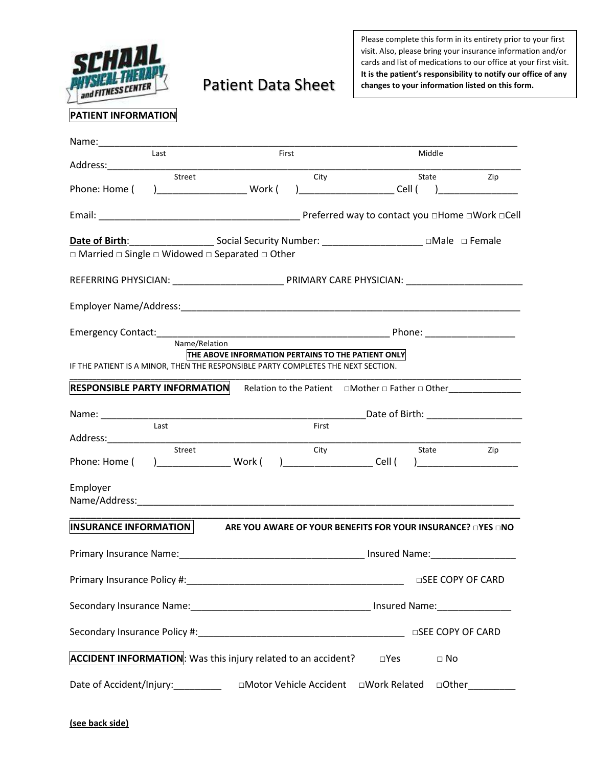

## Patient Data Sheet

Please complete this form in its entirety prior to your first visit. Also, please bring your insurance information and/or cards and list of medications to our office at your first visit. **It is the patient's responsibility to notify our office of any changes to your information listed on this form.**

## **PATIENT INFORMATION**

| Name:                                                                             |                                                             |               |                   |
|-----------------------------------------------------------------------------------|-------------------------------------------------------------|---------------|-------------------|
| Last<br>Address:                                                                  | First                                                       | Middle        |                   |
| Street                                                                            | City                                                        | State         | Zip               |
| Phone: Home (                                                                     |                                                             | <u>Cell</u> ( |                   |
|                                                                                   |                                                             |               |                   |
| $\Box$ Married $\Box$ Single $\Box$ Widowed $\Box$ Separated $\Box$ Other         |                                                             |               |                   |
|                                                                                   |                                                             |               |                   |
|                                                                                   |                                                             |               |                   |
|                                                                                   |                                                             |               |                   |
|                                                                                   |                                                             |               |                   |
| Name/Relation                                                                     |                                                             |               |                   |
| IF THE PATIENT IS A MINOR, THEN THE RESPONSIBLE PARTY COMPLETES THE NEXT SECTION. | THE ABOVE INFORMATION PERTAINS TO THE PATIENT ONLY          |               |                   |
| <b>RESPONSIBLE PARTY INFORMATION</b>                                              |                                                             |               |                   |
|                                                                                   |                                                             |               |                   |
| Last                                                                              | First                                                       |               |                   |
| Street<br>Phone: Home (                                                           | City                                                        | State         | Zip               |
| Employer                                                                          |                                                             |               |                   |
|                                                                                   |                                                             |               |                   |
| INSURANCE INFORMATION                                                             | ARE YOU AWARE OF YOUR BENEFITS FOR YOUR INSURANCE? □YES □NO |               |                   |
|                                                                                   |                                                             |               |                   |
|                                                                                   |                                                             |               | □SEE COPY OF CARD |
|                                                                                   |                                                             |               |                   |
|                                                                                   |                                                             |               | □SEE COPY OF CARD |
| <b>ACCIDENT INFORMATION:</b> Was this injury related to an accident?              |                                                             | $\square$ Yes | $\Box$ No         |
| Date of Accident/Injury:____________ □Motor Vehicle Accident                      |                                                             | □Work Related | $\Box$ Other      |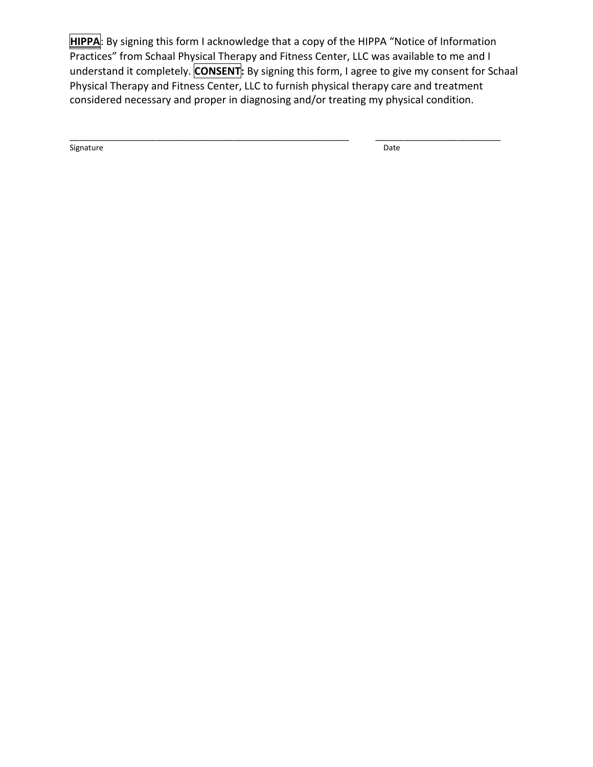**HIPPA**: By signing this form I acknowledge that a copy of the HIPPA "Notice of Information Practices" from Schaal Physical Therapy and Fitness Center, LLC was available to me and I understand it completely. **CONSENT:** By signing this form, I agree to give my consent for Schaal Physical Therapy and Fitness Center, LLC to furnish physical therapy care and treatment considered necessary and proper in diagnosing and/or treating my physical condition.

\_\_\_\_\_\_\_\_\_\_\_\_\_\_\_\_\_\_\_\_\_\_\_\_\_\_\_\_\_\_\_\_\_\_\_\_\_\_\_\_\_\_\_\_\_\_\_\_\_\_\_\_\_\_\_\_\_\_ \_\_\_\_\_\_\_\_\_\_\_\_\_\_\_\_\_\_\_\_\_\_\_\_\_\_

Signature Date Date of the Signature Date of the Signature Date of the Date of the Date of the Date of the Date of the Date of the Date of the Date of the Date of the Date of the Date of the Date of the Date of the Date of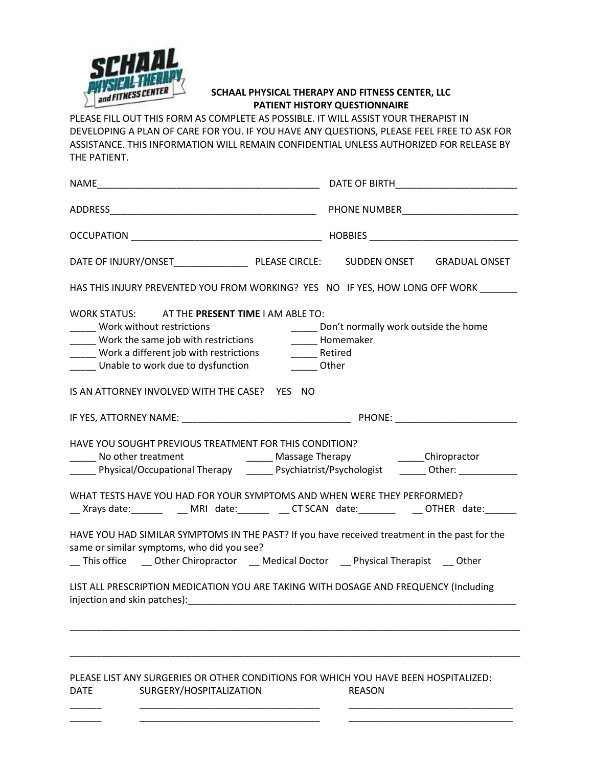

## **SCHAAL PHYSICAL THERAPY AND FITNESS CENTER, LLC PATIENT HISTORY QUESTIONNAIRE**

PLEASE FILL OUT THIS FORM AS COMPLETE AS POSSIBLE. IT WILL ASSIST YOUR THERAPIST IN DEVELOPING A PLAN OF CARE FOR YOU. IF YOU HAVE ANY QUESTIONS, PLEASE FEEL FREE TO ASK FOR ASSISTANCE. THIS INFORMATION WILL REMAIN CONFIDENTIAL UNLESS AUTHORIZED FOR RELEASE BY THE PATIENT.

| <b>NAME</b>                                                                                                                                                                                                                                                                                                                          | DATE OF BIRTH                                                                              |  |  |  |
|--------------------------------------------------------------------------------------------------------------------------------------------------------------------------------------------------------------------------------------------------------------------------------------------------------------------------------------|--------------------------------------------------------------------------------------------|--|--|--|
|                                                                                                                                                                                                                                                                                                                                      |                                                                                            |  |  |  |
|                                                                                                                                                                                                                                                                                                                                      |                                                                                            |  |  |  |
|                                                                                                                                                                                                                                                                                                                                      | <b>GRADUAL ONSET</b>                                                                       |  |  |  |
| HAS THIS INJURY PREVENTED YOU FROM WORKING? YES NO IF YES, HOW LONG OFF WORK                                                                                                                                                                                                                                                         |                                                                                            |  |  |  |
| WORK STATUS: AT THE PRESENT TIME I AM ABLE TO:<br>Work without restrictions<br>Work the same job with restrictions<br>_____ Work a different job with restrictions<br>_____ Unable to work due to dysfunction<br>IS AN ATTORNEY INVOLVED WITH THE CASE? YES NO                                                                       | Don't normally work outside the home<br>______ Homemaker<br>______ Retired<br>______ Other |  |  |  |
| IF YES, ATTORNEY NAME: PHONE: PHONE:                                                                                                                                                                                                                                                                                                 |                                                                                            |  |  |  |
| HAVE YOU SOUGHT PREVIOUS TREATMENT FOR THIS CONDITION?<br>No other treatment<br><b>Massage Therapy</b> Massage Therapy<br>Physical/Occupational Therapy Psychiatrist/Psychologist Chher:                                                                                                                                             | ________Chiropractor                                                                       |  |  |  |
| WHAT TESTS HAVE YOU HAD FOR YOUR SYMPTOMS AND WHEN WERE THEY PERFORMED?<br>__ Xrays date:________ ___ MRI date:_______ __ CT SCAN date:________  ___OTHER date:______                                                                                                                                                                |                                                                                            |  |  |  |
| HAVE YOU HAD SIMILAR SYMPTOMS IN THE PAST? If you have received treatment in the past for the<br>same or similar symptoms, who did you see?<br>__ This office ____ Other Chiropractor ____ Medical Doctor ____ Physical Therapist ____ Other<br>LIST ALL PRESCRIPTION MEDICATION YOU ARE TAKING WITH DOSAGE AND FREQUENCY (Including |                                                                                            |  |  |  |
|                                                                                                                                                                                                                                                                                                                                      |                                                                                            |  |  |  |
|                                                                                                                                                                                                                                                                                                                                      |                                                                                            |  |  |  |

PLEASE LIST ANY SURGERIES OR OTHER CONDITIONS FOR WHICH YOU HAVE BEEN HOSPITALIZED: DATE SURGERY/HOSPITALIZATION REASON

\_\_\_\_\_\_ \_\_\_\_\_\_\_\_\_\_\_\_\_\_\_\_\_\_\_\_\_\_\_\_\_\_\_\_\_\_\_\_\_\_ \_\_\_\_\_\_\_\_\_\_\_\_\_\_\_\_\_\_\_\_\_\_\_\_\_\_\_\_\_\_\_ \_\_\_\_\_\_ \_\_\_\_\_\_\_\_\_\_\_\_\_\_\_\_\_\_\_\_\_\_\_\_\_\_\_\_\_\_\_\_\_\_ \_\_\_\_\_\_\_\_\_\_\_\_\_\_\_\_\_\_\_\_\_\_\_\_\_\_\_\_\_\_\_